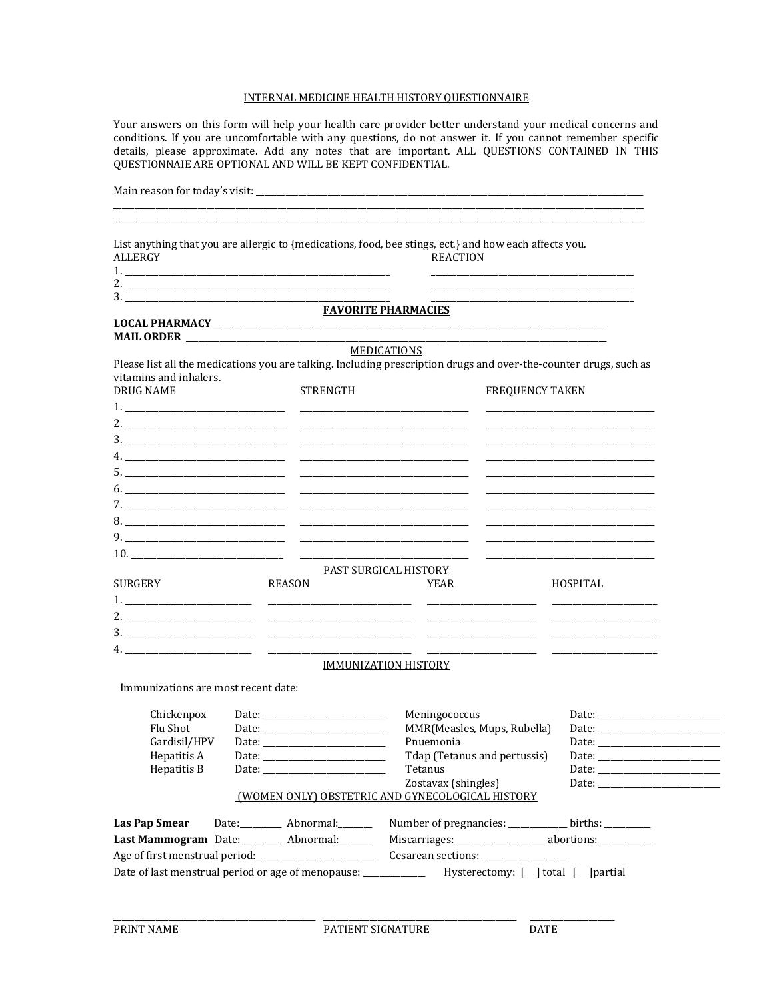# INTERNAL MEDICINE HEALTH HISTORY QUESTIONNAIRE

Your answers on this form will help your health care provider better understand your medical concerns and conditions. If you are uncomfortable with any questions, do not answer it. If you cannot remember specific details, please approximate. Add any notes that are important. ALL QUESTIONS CONTAINED IN THIS QUESTIONNAIE ARE OPTIONAL AND WILL BE KEPT CONFIDENTIAL.

| List anything that you are allergic to {medications, food, bee stings, ect.} and how each affects you.<br><b>ALLERGY</b>                                                                                                                                                                                               |               |                             | <b>REACTION</b>                                                         |                                     |                                                     |  |
|------------------------------------------------------------------------------------------------------------------------------------------------------------------------------------------------------------------------------------------------------------------------------------------------------------------------|---------------|-----------------------------|-------------------------------------------------------------------------|-------------------------------------|-----------------------------------------------------|--|
|                                                                                                                                                                                                                                                                                                                        |               |                             |                                                                         |                                     |                                                     |  |
| 2. $\frac{1}{2}$ $\frac{1}{2}$ $\frac{1}{2}$ $\frac{1}{2}$ $\frac{1}{2}$ $\frac{1}{2}$ $\frac{1}{2}$ $\frac{1}{2}$ $\frac{1}{2}$ $\frac{1}{2}$ $\frac{1}{2}$ $\frac{1}{2}$ $\frac{1}{2}$ $\frac{1}{2}$ $\frac{1}{2}$ $\frac{1}{2}$ $\frac{1}{2}$ $\frac{1}{2}$ $\frac{1}{2}$ $\frac{1}{2}$ $\frac{1}{2}$ $\frac{1}{2}$ |               |                             |                                                                         |                                     |                                                     |  |
|                                                                                                                                                                                                                                                                                                                        |               | <b>FAVORITE PHARMACIES</b>  |                                                                         |                                     |                                                     |  |
|                                                                                                                                                                                                                                                                                                                        |               |                             |                                                                         |                                     |                                                     |  |
|                                                                                                                                                                                                                                                                                                                        |               |                             | <b>MEDICATIONS</b>                                                      |                                     |                                                     |  |
| Please list all the medications you are talking. Including prescription drugs and over-the-counter drugs, such as                                                                                                                                                                                                      |               |                             |                                                                         |                                     |                                                     |  |
| vitamins and inhalers.                                                                                                                                                                                                                                                                                                 |               |                             |                                                                         |                                     |                                                     |  |
| <b>DRUG NAME</b>                                                                                                                                                                                                                                                                                                       |               | <b>STRENGTH</b>             |                                                                         |                                     | <b>FREQUENCY TAKEN</b>                              |  |
|                                                                                                                                                                                                                                                                                                                        |               |                             |                                                                         |                                     |                                                     |  |
|                                                                                                                                                                                                                                                                                                                        |               |                             |                                                                         |                                     |                                                     |  |
|                                                                                                                                                                                                                                                                                                                        |               |                             |                                                                         |                                     |                                                     |  |
|                                                                                                                                                                                                                                                                                                                        |               |                             |                                                                         |                                     |                                                     |  |
|                                                                                                                                                                                                                                                                                                                        |               |                             |                                                                         |                                     |                                                     |  |
|                                                                                                                                                                                                                                                                                                                        |               |                             |                                                                         |                                     |                                                     |  |
|                                                                                                                                                                                                                                                                                                                        |               |                             |                                                                         |                                     |                                                     |  |
|                                                                                                                                                                                                                                                                                                                        |               |                             |                                                                         |                                     |                                                     |  |
|                                                                                                                                                                                                                                                                                                                        |               |                             |                                                                         |                                     |                                                     |  |
|                                                                                                                                                                                                                                                                                                                        |               |                             |                                                                         |                                     |                                                     |  |
|                                                                                                                                                                                                                                                                                                                        |               |                             | <u>PAST SURGICAL HISTORY</u>                                            |                                     |                                                     |  |
| SURGERY                                                                                                                                                                                                                                                                                                                | <b>REASON</b> |                             | YEAR                                                                    |                                     | <b>HOSPITAL</b>                                     |  |
|                                                                                                                                                                                                                                                                                                                        |               |                             |                                                                         |                                     |                                                     |  |
|                                                                                                                                                                                                                                                                                                                        |               |                             |                                                                         |                                     |                                                     |  |
|                                                                                                                                                                                                                                                                                                                        |               |                             |                                                                         |                                     |                                                     |  |
|                                                                                                                                                                                                                                                                                                                        |               |                             |                                                                         |                                     |                                                     |  |
|                                                                                                                                                                                                                                                                                                                        |               | <b>IMMUNIZATION HISTORY</b> |                                                                         |                                     |                                                     |  |
| Immunizations are most recent date:                                                                                                                                                                                                                                                                                    |               |                             |                                                                         |                                     |                                                     |  |
| Chickenpox                                                                                                                                                                                                                                                                                                             |               |                             | Meningococcus                                                           |                                     |                                                     |  |
| Flu Shot                                                                                                                                                                                                                                                                                                               |               |                             | MMR(Measles, Mups, Rubella)                                             |                                     |                                                     |  |
| Gardisil/HPV                                                                                                                                                                                                                                                                                                           |               | Date: $\qquad \qquad$       | Pnuemonia                                                               |                                     | Date: $\qquad \qquad$                               |  |
| Hepatitis A                                                                                                                                                                                                                                                                                                            |               |                             | Tdap (Tetanus and pertussis)                                            |                                     |                                                     |  |
| Hepatitis B                                                                                                                                                                                                                                                                                                            |               |                             | Tetanus                                                                 |                                     |                                                     |  |
|                                                                                                                                                                                                                                                                                                                        |               |                             | Zostavax (shingles)<br>(WOMEN ONLY) OBSTETRIC AND GYNECOLOGICAL HISTORY |                                     |                                                     |  |
|                                                                                                                                                                                                                                                                                                                        |               |                             |                                                                         |                                     |                                                     |  |
| <b>Las Pap Smear</b>                                                                                                                                                                                                                                                                                                   |               | Date: Abnormal:             |                                                                         |                                     | Number of pregnancies: ___________ births: ________ |  |
| Last Mammogram Date:________ Abnormal:______                                                                                                                                                                                                                                                                           |               |                             |                                                                         |                                     |                                                     |  |
|                                                                                                                                                                                                                                                                                                                        |               |                             |                                                                         |                                     |                                                     |  |
| Date of last menstrual period or age of menopause: __                                                                                                                                                                                                                                                                  |               |                             |                                                                         | Hysterectomy: [ ] total [ ] partial |                                                     |  |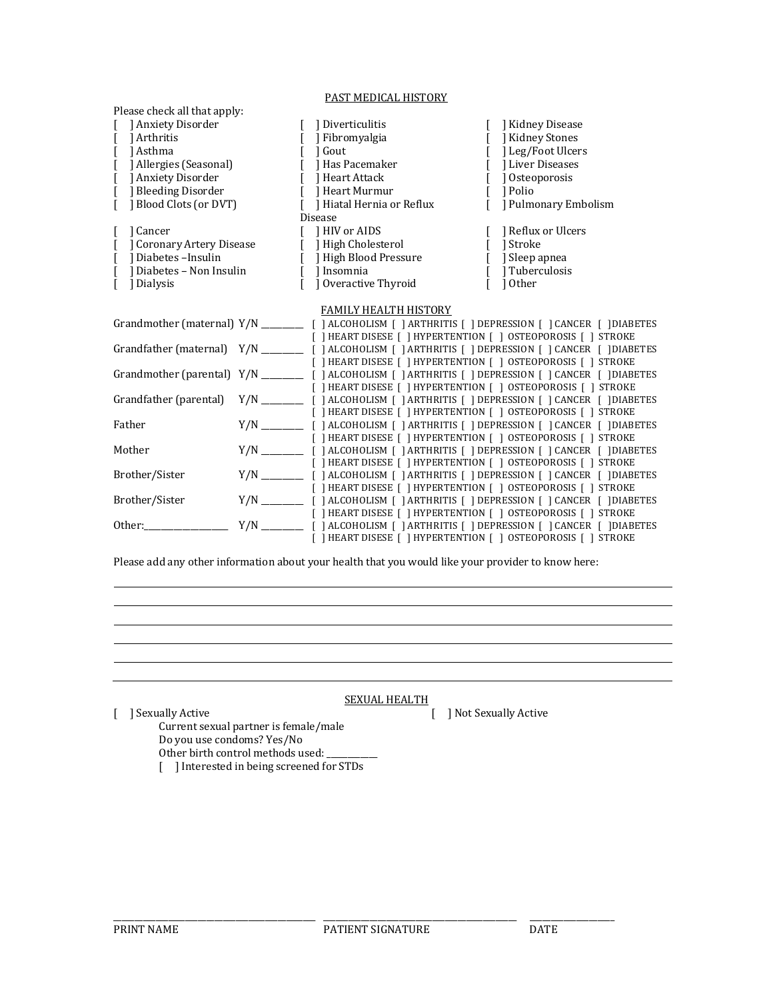## PAST MEDICAL HISTORY

| Please check all that apply:         |  |                                         |                                                                                       |  |
|--------------------------------------|--|-----------------------------------------|---------------------------------------------------------------------------------------|--|
| Anxiety Disorder                     |  | Diverticulitis                          | [ ] Kidney Disease                                                                    |  |
| Arthritis                            |  | Fibromyalgia                            | [ ] Kidney Stones                                                                     |  |
| [ ] Asthma                           |  | 1 Gout<br>$\Gamma$                      | [ ] Leg/Foot Ulcers                                                                   |  |
| [ ] Allergies (Seasonal)             |  | [ ] Has Pacemaker                       | [ ] Liver Diseases                                                                    |  |
| [ ] Anxiety Disorder                 |  | $\mathbf{L}$<br>Heart Attack            | [ ] Osteoporosis                                                                      |  |
| Bleeding Disorder                    |  | 1 Heart Murmur                          | [ ] Polio                                                                             |  |
| Blood Clots (or DVT)<br>$\mathsf{L}$ |  | Hiatal Hernia or Reflux<br>$\mathsf{L}$ | [ ] Pulmonary Embolism                                                                |  |
|                                      |  | <b>Disease</b>                          |                                                                                       |  |
| ] Cancer                             |  | [ ] HIV or AIDS                         | [ ] Reflux or Ulcers                                                                  |  |
| Coronary Artery Disease              |  | [ ] High Cholesterol                    | [ ] Stroke                                                                            |  |
| [ ] Diabetes - Insulin               |  | [ ] High Blood Pressure                 | [ ] Sleep apnea                                                                       |  |
| [ ] Diabetes – Non Insulin           |  | [ ] Insomnia                            | [ ] Tuberculosis                                                                      |  |
| 1 Dialysis<br>$\lceil$               |  | ] Overactive Thyroid                    | [ 10ther                                                                              |  |
|                                      |  |                                         |                                                                                       |  |
|                                      |  | <b>FAMILY HEALTH HISTORY</b>            |                                                                                       |  |
|                                      |  |                                         |                                                                                       |  |
|                                      |  |                                         |                                                                                       |  |
|                                      |  |                                         | [ ] HEART DISESE [ ] HYPERTENTION [ ] OSTEOPOROSIS [ ] STROKE                         |  |
|                                      |  |                                         | [ ] HEART DISESE [ ] HYPERTENTION [ ] OSTEOPOROSIS [ ] STROKE                         |  |
|                                      |  |                                         |                                                                                       |  |
|                                      |  |                                         | [ ] HEART DISESE [ ] HYPERTENTION [ ] OSTEOPOROSIS [ ] STROKE                         |  |
|                                      |  |                                         | Grandfather (parental) Y/N [1ALCOHOLISM [1ARTHRITIS [1DEPRESSION [1CANCER [1DIABETES] |  |
|                                      |  |                                         | [ ] HEART DISESE [ ] HYPERTENTION [ ] OSTEOPOROSIS [ ] STROKE                         |  |
| Father                               |  |                                         |                                                                                       |  |
|                                      |  |                                         | [ ] HEART DISESE [ ] HYPERTENTION [ ] OSTEOPOROSIS [ ] STROKE                         |  |
| Mother                               |  |                                         | Y/N ____________ [ ] ALCOHOLISM [ ] ARTHRITIS [ ] DEPRESSION [ ] CANCER [ ] DIABETES  |  |
|                                      |  |                                         | [ ] HEART DISESE [ ] HYPERTENTION [ ] OSTEOPOROSIS [ ] STROKE                         |  |
| Brother/Sister                       |  |                                         |                                                                                       |  |
|                                      |  |                                         | [ ] HEART DISESE [ ] HYPERTENTION [ ] OSTEOPOROSIS [ ] STROKE                         |  |
| Brother/Sister                       |  |                                         |                                                                                       |  |
|                                      |  |                                         | [ ] HEART DISESE [ ] HYPERTENTION [ ] OSTEOPOROSIS [ ] STROKE                         |  |
|                                      |  |                                         |                                                                                       |  |
|                                      |  |                                         | [ ] HEART DISESE [ ] HYPERTENTION [ ] OSTEOPOROSIS [ ] STROKE                         |  |
|                                      |  |                                         |                                                                                       |  |

Please add any other information about your health that you would like your provider to know here:

### SEXUAL HEALTH

Current sexual partner is female/male Do you use condoms? Yes/No

Other birth control methods used:

[ ] Interested in being screened for STDs

\_\_\_\_\_\_\_\_\_\_\_\_\_\_\_\_\_\_\_\_\_\_\_\_\_\_\_\_\_\_\_\_\_\_\_\_\_\_\_\_\_\_\_\_\_\_\_\_ \_\_\_\_\_\_\_\_\_\_\_\_\_\_\_\_\_\_\_\_\_\_\_\_\_\_\_\_\_\_\_\_\_\_\_\_\_\_\_\_\_\_\_\_\_\_ \_\_\_\_\_\_\_\_\_\_\_\_\_\_\_\_\_\_\_\_

[ ] Sexually Active [ ] Not Sexually Active